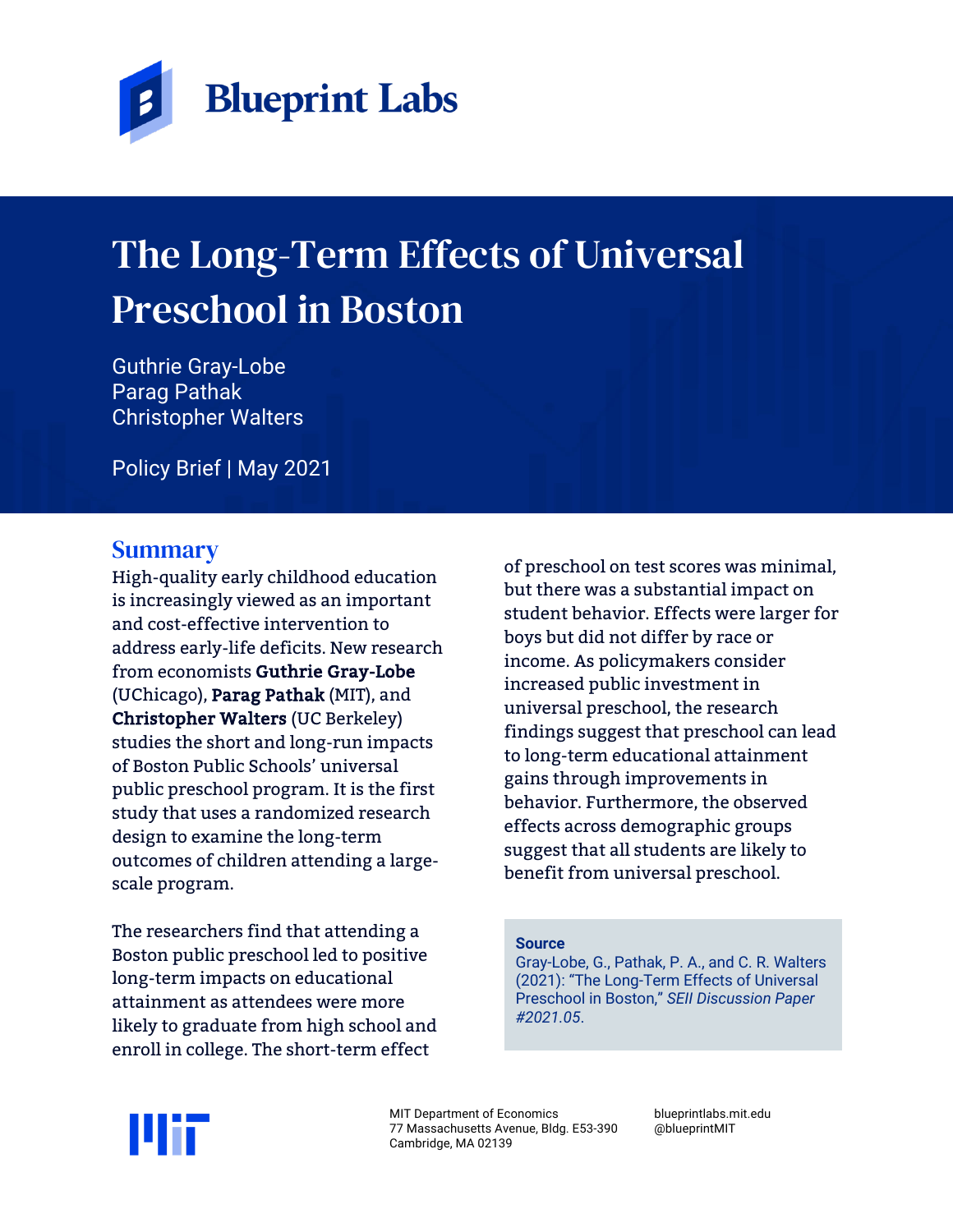

# The Long-Term Effects of Universal Preschool in Boston

Guthrie Gray-Lobe Parag Pathak Christopher Walters

Policy Brief | May 2021

### **Summary**

High-quality early childhood education is increasingly viewed as an important and cost-effective intervention to address early-life deficits. New research from economists Guthrie Gray-Lobe (UChicago), Parag Pathak (MIT), and Christopher Walters (UC Berkeley) studies the short and long-run impacts of Boston Public Schools' universal public preschool program. It is the first study that uses a randomized research design to examine the long-term outcomes of children attending a largescale program.

The researchers find that attending a Boston public preschool led to positive long-term impacts on educational attainment as attendees were more likely to graduate from high school and enroll in college. The short-term effect

of preschool on test scores was minimal, but there was a substantial impact on student behavior. Effects were larger for boys but did not differ by race or income. As policymakers consider increased public investment in universal preschool, the research findings suggest that preschool can lead to long-term educational attainment gains through improvements in behavior. Furthermore, the observed effects across demographic groups suggest that all students are likely to benefit from universal preschool.

#### **Source**

Gray-Lobe, G., Pathak, P. A., and C. R. Walters (2021): "The Long-Term Effects of Universal Preschool in Boston," *SEII Discussion Paper #2021.05*.



MIT Department of Economics 77 Massachusetts Avenue, Bldg. E53-390 Cambridge, MA 02139

blueprintlabs.mit.edu @blueprintMIT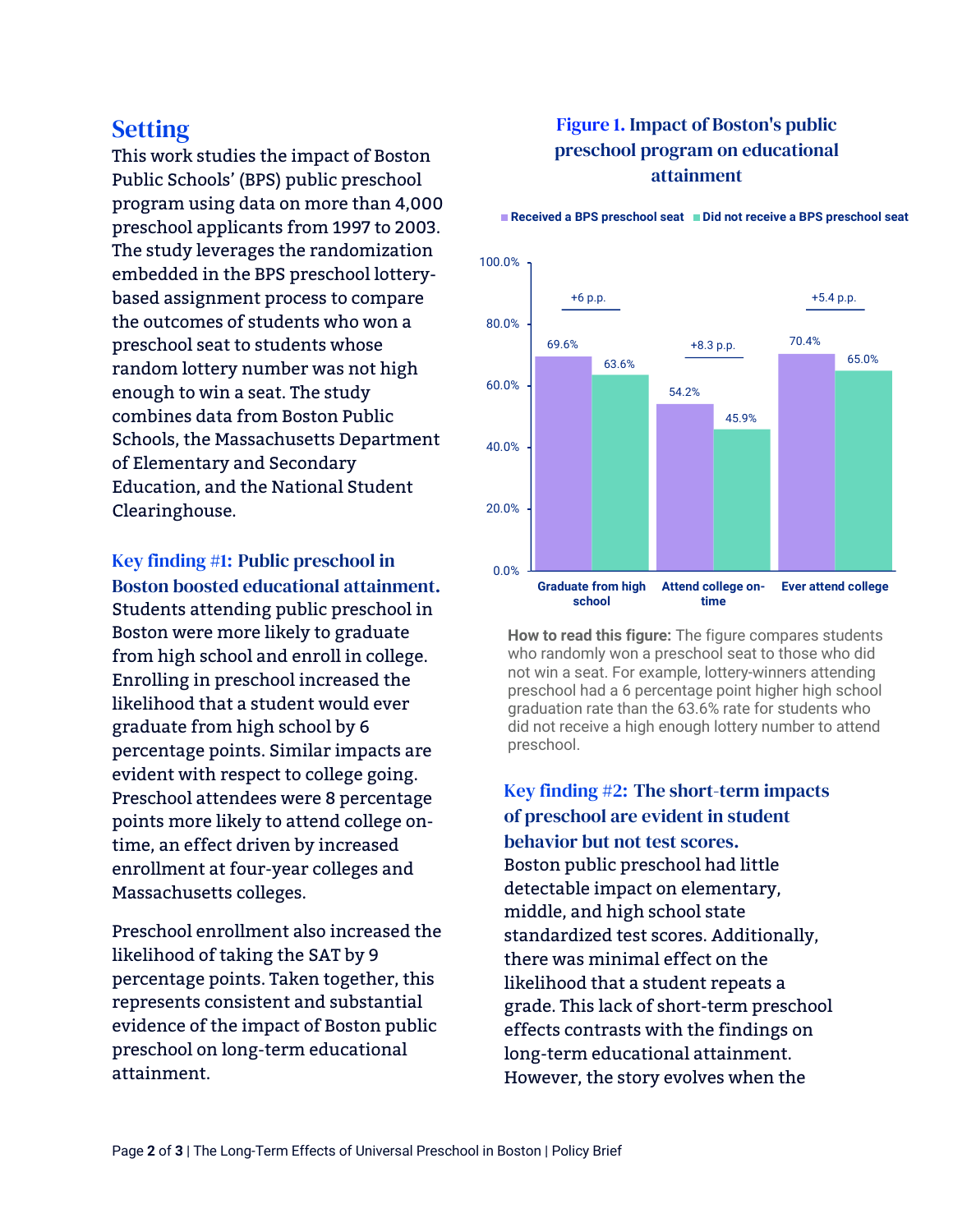## **Setting**

This work studies the impact of Boston Public Schools' (BPS) public preschool program using data on more than 4,000 preschool applicants from 1997 to 2003. The study leverages the randomization embedded in the BPS preschool lotterybased assignment process to compare the outcomes of students who won a preschool seat to students whose random lottery number was not high enough to win a seat. The study combines data from Boston Public Schools, the Massachusetts Department of Elementary and Secondary Education, and the National Student Clearinghouse.

Key finding #1: Public preschool in Boston boosted educational attainment. Students attending public preschool in Boston were more likely to graduate from high school and enroll in college. Enrolling in preschool increased the likelihood that a student would ever graduate from high school by 6 percentage points. Similar impacts are evident with respect to college going. Preschool attendees were 8 percentage points more likely to attend college ontime, an effect driven by increased enrollment at four-year colleges and Massachusetts colleges.

Preschool enrollment also increased the likelihood of taking the SAT by 9 percentage points. Taken together, this represents consistent and substantial evidence of the impact of Boston public preschool on long-term educational attainment.

#### Figure 1. Impact of Boston's public preschool program on educational attainment

■ Received a BPS preschool seat ■ Did not receive a BPS preschool seat



**How to read this figure:** The figure compares students who randomly won a preschool seat to those who did not win a seat. For example, lottery-winners attending preschool had a 6 percentage point higher high school graduation rate than the 63.6% rate for students who did not receive a high enough lottery number to attend preschool.

Key finding #2: The short-term impacts of preschool are evident in student behavior but not test scores. Boston public preschool had little detectable impact on elementary, middle, and high school state standardized test scores. Additionally, there was minimal effect on the likelihood that a student repeats a grade. This lack of short-term preschool effects contrasts with the findings on long-term educational attainment. However, the story evolves when the